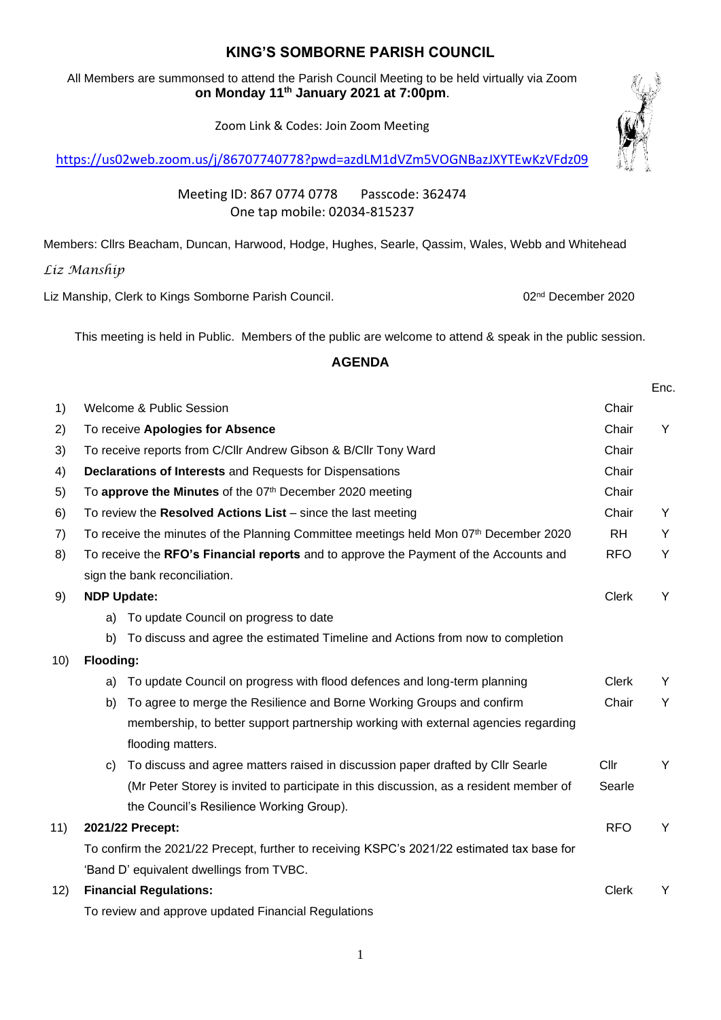## **KING'S SOMBORNE PARISH COUNCIL**

All Members are summonsed to attend the Parish Council Meeting to be held virtually via Zoom **on Monday 11th January 2021 at 7:00pm**.

Zoom Link & Codes: Join Zoom Meeting

<https://us02web.zoom.us/j/86707740778?pwd=azdLM1dVZm5VOGNBazJXYTEwKzVFdz09>

Meeting ID: 867 0774 0778 Passcode: 362474 One tap mobile: 02034-815237

Members: Cllrs Beacham, Duncan, Harwood, Hodge, Hughes, Searle, Qassim, Wales, Webb and Whitehead

*Liz Manship*

Liz Manship, Clerk to Kings Somborne Parish Council. **02nd December 2020** 02<sup>nd</sup> December 2020

This meeting is held in Public. Members of the public are welcome to attend & speak in the public session.

## **AGENDA**

|     |                                                                                            |                                                                                        |              | Enc. |
|-----|--------------------------------------------------------------------------------------------|----------------------------------------------------------------------------------------|--------------|------|
| 1)  |                                                                                            | Welcome & Public Session                                                               | Chair        |      |
| 2)  | To receive Apologies for Absence                                                           |                                                                                        |              | Y    |
| 3)  |                                                                                            | To receive reports from C/Cllr Andrew Gibson & B/Cllr Tony Ward                        | Chair        |      |
| 4)  |                                                                                            | <b>Declarations of Interests and Requests for Dispensations</b>                        | Chair        |      |
| 5)  | To approve the Minutes of the 07th December 2020 meeting                                   |                                                                                        | Chair        |      |
| 6)  |                                                                                            | To review the Resolved Actions $List -$ since the last meeting                         | Chair        | Y    |
| 7)  |                                                                                            | To receive the minutes of the Planning Committee meetings held Mon 07th December 2020  | <b>RH</b>    | Y    |
| 8)  | To receive the RFO's Financial reports and to approve the Payment of the Accounts and      |                                                                                        |              | Y    |
|     | sign the bank reconciliation.                                                              |                                                                                        |              |      |
| 9)  | <b>NDP Update:</b>                                                                         |                                                                                        |              | Y    |
|     | a)                                                                                         | To update Council on progress to date                                                  |              |      |
|     | b)                                                                                         | To discuss and agree the estimated Timeline and Actions from now to completion         |              |      |
| 10) | Flooding:                                                                                  |                                                                                        |              |      |
|     | a)                                                                                         | To update Council on progress with flood defences and long-term planning               | <b>Clerk</b> | Y    |
|     | b)                                                                                         | To agree to merge the Resilience and Borne Working Groups and confirm                  | Chair        | Y    |
|     |                                                                                            | membership, to better support partnership working with external agencies regarding     |              |      |
|     |                                                                                            | flooding matters.                                                                      |              |      |
|     | C)                                                                                         | To discuss and agree matters raised in discussion paper drafted by Cllr Searle         | Cllr         | Y    |
|     |                                                                                            | (Mr Peter Storey is invited to participate in this discussion, as a resident member of | Searle       |      |
|     |                                                                                            | the Council's Resilience Working Group).                                               |              |      |
| 11) | 2021/22 Precept:                                                                           |                                                                                        |              | Y    |
|     | To confirm the 2021/22 Precept, further to receiving KSPC's 2021/22 estimated tax base for |                                                                                        |              |      |
|     | 'Band D' equivalent dwellings from TVBC.                                                   |                                                                                        |              |      |
| 12) | <b>Financial Regulations:</b>                                                              |                                                                                        |              | Y    |
|     | To review and approve updated Financial Regulations                                        |                                                                                        |              |      |